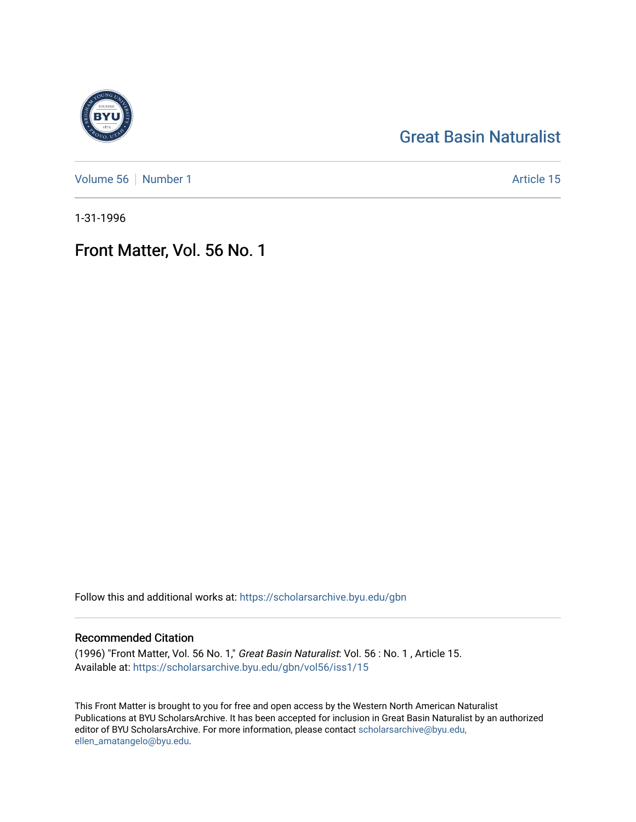# [Great Basin Naturalist](https://scholarsarchive.byu.edu/gbn)

[Volume 56](https://scholarsarchive.byu.edu/gbn/vol56) [Number 1](https://scholarsarchive.byu.edu/gbn/vol56/iss1) Article 15

1-31-1996

# Front Matter, Vol. 56 No. 1

Follow this and additional works at: [https://scholarsarchive.byu.edu/gbn](https://scholarsarchive.byu.edu/gbn?utm_source=scholarsarchive.byu.edu%2Fgbn%2Fvol56%2Fiss1%2F15&utm_medium=PDF&utm_campaign=PDFCoverPages) 

## Recommended Citation

(1996) "Front Matter, Vol. 56 No. 1," Great Basin Naturalist: Vol. 56 : No. 1 , Article 15. Available at: [https://scholarsarchive.byu.edu/gbn/vol56/iss1/15](https://scholarsarchive.byu.edu/gbn/vol56/iss1/15?utm_source=scholarsarchive.byu.edu%2Fgbn%2Fvol56%2Fiss1%2F15&utm_medium=PDF&utm_campaign=PDFCoverPages) 

This Front Matter is brought to you for free and open access by the Western North American Naturalist Publications at BYU ScholarsArchive. It has been accepted for inclusion in Great Basin Naturalist by an authorized editor of BYU ScholarsArchive. For more information, please contact [scholarsarchive@byu.edu,](mailto:scholarsarchive@byu.edu,%20ellen_amatangelo@byu.edu) [ellen\\_amatangelo@byu.edu](mailto:scholarsarchive@byu.edu,%20ellen_amatangelo@byu.edu).

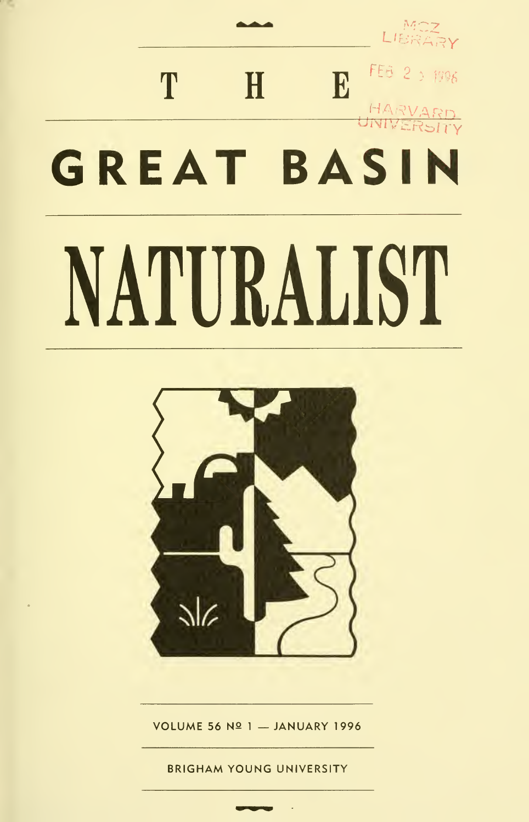# LIBRARY FEB 2 3 1996 E T  $H$ HARV. **GREAT BASIN** NATURALIST



VOLUME 56 Nº 1 - JANUARY 1996

**BRIGHAM YOUNG UNIVERSITY**